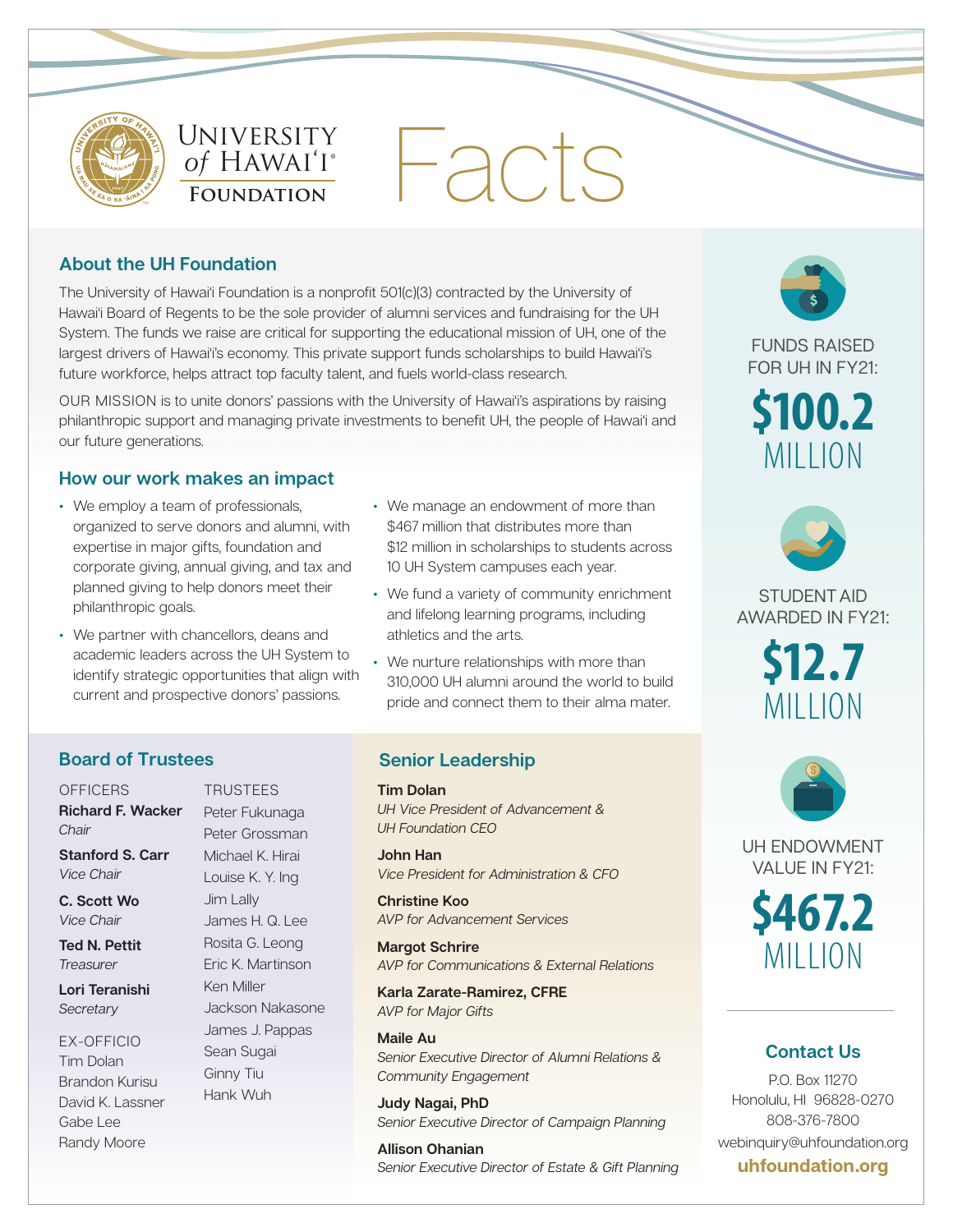

University University  $\sigma_f$  H  $\mu$  $\frac{6}{100}$ ® *of* Hawai'i ® **FOUNDATION** 

# Facts

## **About the UH Foundation**

The University of Hawai'i Foundation is a nonprofit 501(c)(3) contracted by the University of Hawai'i Board of Regents to be the sole provider of alumni services and fundraising for the UH System. The funds we raise are critical for supporting the educational mission of UH, one of the largest drivers of Hawai'i's economy. This private support funds scholarships to build Hawai'i's future workforce, helps attract top faculty talent, and fuels world-class research.

OUR MISSION is to unite donors' passions with the University of Hawai'i's aspirations by raising philanthropic support and managing private investments to benefit UH, the people of Hawai'i and our future generations.

## **How our work makes an impact**

- We employ a team of professionals, organized to serve donors and alumni, with expertise in major gifts, foundation and corporate giving, annual giving, and tax and planned giving to help donors meet their philanthropic goals.
- We partner with chancellors, deans and academic leaders across the UH System to identify strategic opportunities that align with current and prospective donors' passions.

**TRUSTEES** Peter Fukunaga Peter Grossman Michael K. Hirai Louise K. Y. Ing Jim Lally

James H. Q. Lee Rosita G. Leong Eric K. Martinson

Jackson Nakasone James J. Pappas Sean Sugai Ginny Tiu Hank Wuh

Ken Miller

- We manage an endowment of more than \$467 million that distributes more than \$12 million in scholarships to students across 10 UH System campuses each year.
- We fund a variety of community enrichment and lifelong learning programs, including athletics and the arts.
- We nurture relationships with more than 310,000 UH alumni around the world to build pride and connect them to their alma mater.

# **Board of Trustees**

**OFFICERS Richard F. Wacker**  *Chair*

**Stanford S. Carr**  *Vice Chair*

**C. Scott Wo**  *Vice Chair*

**Ted N. Pettit** *Treasurer*

**Lori Teranishi** *Secretary*

EX-OFFICIO Tim Dolan Brandon Kurisu David K. Lassner Gabe Lee Randy Moore

### **Senior Leadership**

**Tim Dolan** *UH Vice President of Advancement & UH Foundation CEO* 

**John Han**  *Vice President for Administration & CFO*

**Christine Koo** *AVP for Advancement Services*

**Margot Schrire** *AVP for Communications & External Relations*

**Karla Zarate-Ramirez, CFRE** *AVP for Major Gifts*

**Maile Au** *Senior Executive Director of Alumni Relations & Community Engagement*

**Judy Nagai, PhD** *Senior Executive Director of Campaign Planning* 

**Allison Ohanian**  *Senior Executive Director of Estate & Gift Planning* 



FUNDS RAISED FOR UH IN FY21:

**\$100.2** MILLION



STUDENT AID AWARDED IN FY21:





UH ENDOWMENT VALUE IN FY21:

**\$467.2** MILLION

# **Contact Us**

P.O. Box 11270 Honolulu, HI 96828-0270 808-376-7800 webinquiry@uhfoundation.org **uhfoundation.org**